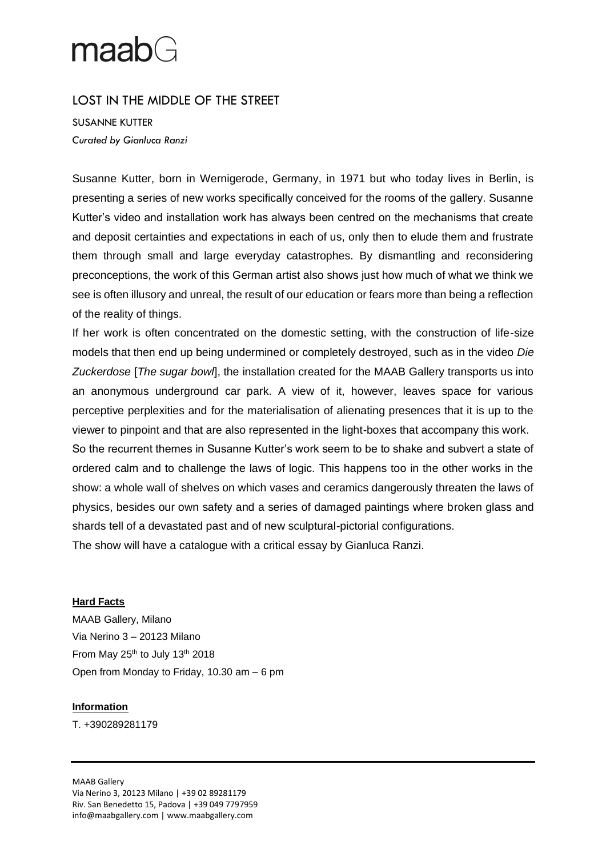## $maabG$

## LOST IN THE MIDDLE OF THE STREET

SUSANNE KUTTER *Curated by Gianluca Ranzi*

Susanne Kutter, born in Wernigerode, Germany, in 1971 but who today lives in Berlin, is presenting a series of new works specifically conceived for the rooms of the gallery. Susanne Kutter's video and installation work has always been centred on the mechanisms that create and deposit certainties and expectations in each of us, only then to elude them and frustrate them through small and large everyday catastrophes. By dismantling and reconsidering preconceptions, the work of this German artist also shows just how much of what we think we see is often illusory and unreal, the result of our education or fears more than being a reflection of the reality of things.

If her work is often concentrated on the domestic setting, with the construction of life-size models that then end up being undermined or completely destroyed, such as in the video *Die Zuckerdose* [*The sugar bowl*], the installation created for the MAAB Gallery transports us into an anonymous underground car park. A view of it, however, leaves space for various perceptive perplexities and for the materialisation of alienating presences that it is up to the viewer to pinpoint and that are also represented in the light-boxes that accompany this work.

So the recurrent themes in Susanne Kutter's work seem to be to shake and subvert a state of ordered calm and to challenge the laws of logic. This happens too in the other works in the show: a whole wall of shelves on which vases and ceramics dangerously threaten the laws of physics, besides our own safety and a series of damaged paintings where broken glass and shards tell of a devastated past and of new sculptural-pictorial configurations.

The show will have a catalogue with a critical essay by Gianluca Ranzi.

## **Hard Facts**

MAAB Gallery, Milano Via Nerino 3 – 20123 Milano From May  $25<sup>th</sup>$  to July 13<sup>th</sup> 2018 Open from Monday to Friday, 10.30 am – 6 pm

## **Information**

T. +390289281179